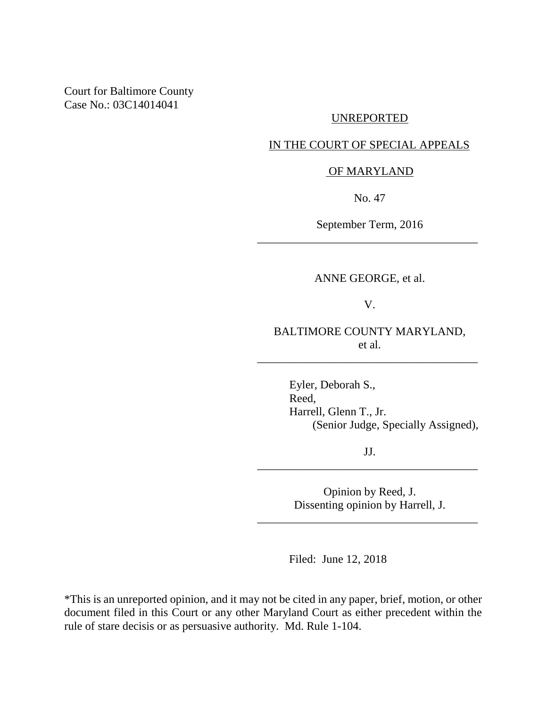Court for Baltimore County Case No.: 03C14014041

### UNREPORTED

### IN THE COURT OF SPECIAL APPEALS

#### OF MARYLAND

No. 47

September Term, 2016 \_\_\_\_\_\_\_\_\_\_\_\_\_\_\_\_\_\_\_\_\_\_\_\_\_\_\_\_\_\_\_\_\_\_\_\_\_\_

ANNE GEORGE, et al.

V.

BALTIMORE COUNTY MARYLAND, et al.

\_\_\_\_\_\_\_\_\_\_\_\_\_\_\_\_\_\_\_\_\_\_\_\_\_\_\_\_\_\_\_\_\_\_\_\_\_\_

Eyler, Deborah S., Reed, Harrell, Glenn T., Jr. (Senior Judge, Specially Assigned),

JJ. \_\_\_\_\_\_\_\_\_\_\_\_\_\_\_\_\_\_\_\_\_\_\_\_\_\_\_\_\_\_\_\_\_\_\_\_\_\_

> Opinion by Reed, J. Dissenting opinion by Harrell, J.

\_\_\_\_\_\_\_\_\_\_\_\_\_\_\_\_\_\_\_\_\_\_\_\_\_\_\_\_\_\_\_\_\_\_\_\_\_\_

Filed: June 12, 2018

\*This is an unreported opinion, and it may not be cited in any paper, brief, motion, or other document filed in this Court or any other Maryland Court as either precedent within the rule of stare decisis or as persuasive authority. Md. Rule 1-104.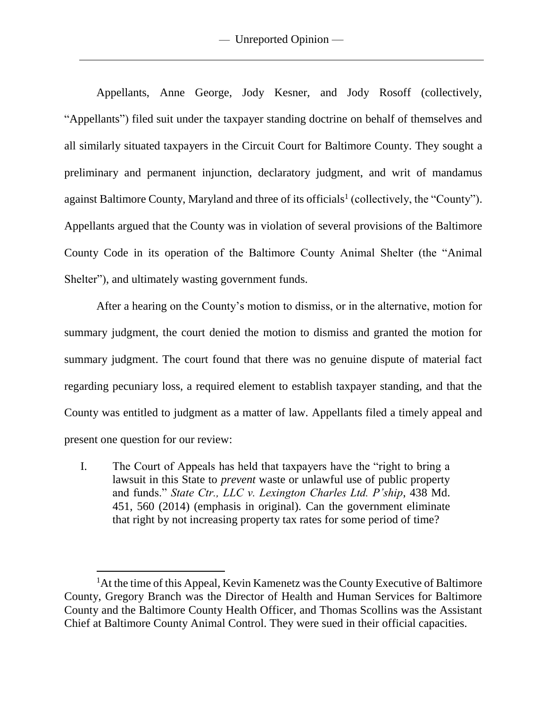Appellants, Anne George, Jody Kesner, and Jody Rosoff (collectively, "Appellants") filed suit under the taxpayer standing doctrine on behalf of themselves and all similarly situated taxpayers in the Circuit Court for Baltimore County. They sought a preliminary and permanent injunction, declaratory judgment, and writ of mandamus against Baltimore County, Maryland and three of its officials<sup>1</sup> (collectively, the "County"). Appellants argued that the County was in violation of several provisions of the Baltimore County Code in its operation of the Baltimore County Animal Shelter (the "Animal Shelter"), and ultimately wasting government funds.

After a hearing on the County's motion to dismiss, or in the alternative, motion for summary judgment, the court denied the motion to dismiss and granted the motion for summary judgment. The court found that there was no genuine dispute of material fact regarding pecuniary loss, a required element to establish taxpayer standing, and that the County was entitled to judgment as a matter of law. Appellants filed a timely appeal and present one question for our review:

I. The Court of Appeals has held that taxpayers have the "right to bring a lawsuit in this State to *prevent* waste or unlawful use of public property and funds." *State Ctr., LLC v. Lexington Charles Ltd. P'ship*, 438 Md. 451, 560 (2014) (emphasis in original). Can the government eliminate that right by not increasing property tax rates for some period of time?

l

<sup>&</sup>lt;sup>1</sup>At the time of this Appeal, Kevin Kamenetz was the County Executive of Baltimore County, Gregory Branch was the Director of Health and Human Services for Baltimore County and the Baltimore County Health Officer, and Thomas Scollins was the Assistant Chief at Baltimore County Animal Control. They were sued in their official capacities.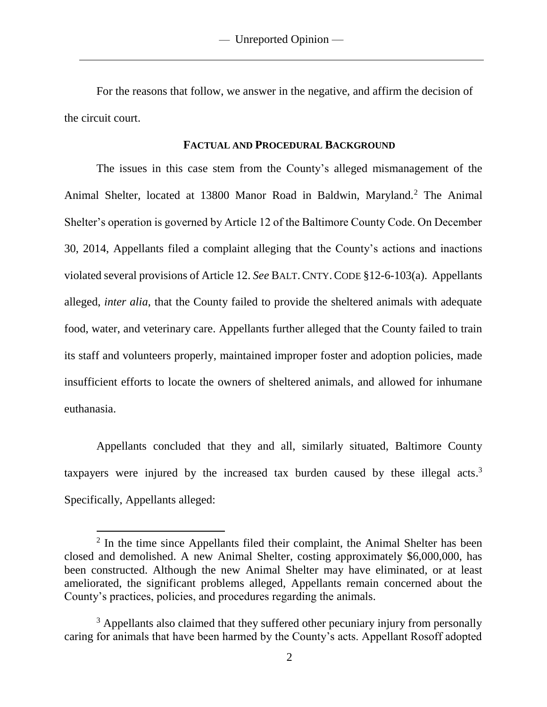For the reasons that follow, we answer in the negative, and affirm the decision of the circuit court.

#### **FACTUAL AND PROCEDURAL BACKGROUND**

The issues in this case stem from the County's alleged mismanagement of the Animal Shelter, located at 13800 Manor Road in Baldwin, Maryland.<sup>2</sup> The Animal Shelter's operation is governed by Article 12 of the Baltimore County Code. On December 30, 2014, Appellants filed a complaint alleging that the County's actions and inactions violated several provisions of Article 12. *See* BALT.CNTY.CODE §12-6-103(a). Appellants alleged, *inter alia*, that the County failed to provide the sheltered animals with adequate food, water, and veterinary care. Appellants further alleged that the County failed to train its staff and volunteers properly, maintained improper foster and adoption policies, made insufficient efforts to locate the owners of sheltered animals, and allowed for inhumane euthanasia.

Appellants concluded that they and all, similarly situated, Baltimore County taxpayers were injured by the increased tax burden caused by these illegal acts.<sup>3</sup> Specifically, Appellants alleged:

 $\overline{\phantom{a}}$ 

<sup>&</sup>lt;sup>2</sup> In the time since Appellants filed their complaint, the Animal Shelter has been closed and demolished. A new Animal Shelter, costing approximately \$6,000,000, has been constructed. Although the new Animal Shelter may have eliminated, or at least ameliorated, the significant problems alleged, Appellants remain concerned about the County's practices, policies, and procedures regarding the animals.

<sup>&</sup>lt;sup>3</sup> Appellants also claimed that they suffered other pecuniary injury from personally caring for animals that have been harmed by the County's acts. Appellant Rosoff adopted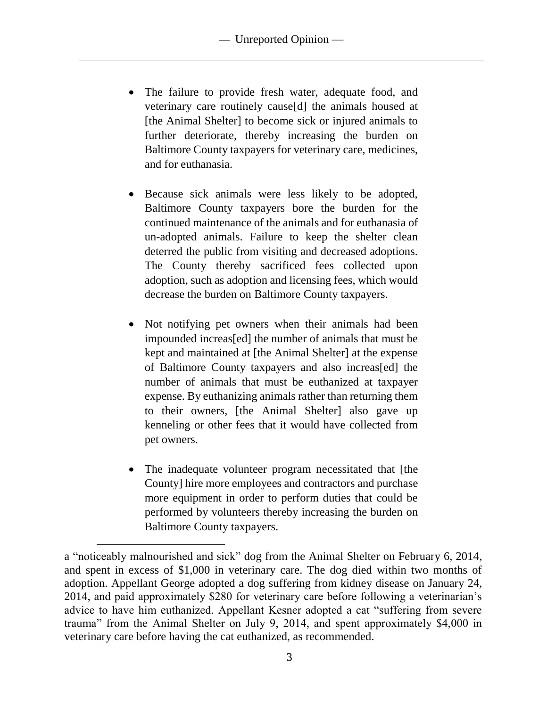- The failure to provide fresh water, adequate food, and veterinary care routinely cause[d] the animals housed at [the Animal Shelter] to become sick or injured animals to further deteriorate, thereby increasing the burden on Baltimore County taxpayers for veterinary care, medicines, and for euthanasia.
- Because sick animals were less likely to be adopted, Baltimore County taxpayers bore the burden for the continued maintenance of the animals and for euthanasia of un-adopted animals. Failure to keep the shelter clean deterred the public from visiting and decreased adoptions. The County thereby sacrificed fees collected upon adoption, such as adoption and licensing fees, which would decrease the burden on Baltimore County taxpayers.
- Not notifying pet owners when their animals had been impounded increas[ed] the number of animals that must be kept and maintained at [the Animal Shelter] at the expense of Baltimore County taxpayers and also increas[ed] the number of animals that must be euthanized at taxpayer expense. By euthanizing animals rather than returning them to their owners, [the Animal Shelter] also gave up kenneling or other fees that it would have collected from pet owners.
- The inadequate volunteer program necessitated that [the County] hire more employees and contractors and purchase more equipment in order to perform duties that could be performed by volunteers thereby increasing the burden on Baltimore County taxpayers.

 $\overline{\phantom{a}}$ 

a "noticeably malnourished and sick" dog from the Animal Shelter on February 6, 2014, and spent in excess of \$1,000 in veterinary care. The dog died within two months of adoption. Appellant George adopted a dog suffering from kidney disease on January 24, 2014, and paid approximately \$280 for veterinary care before following a veterinarian's advice to have him euthanized. Appellant Kesner adopted a cat "suffering from severe trauma" from the Animal Shelter on July 9, 2014, and spent approximately \$4,000 in veterinary care before having the cat euthanized, as recommended.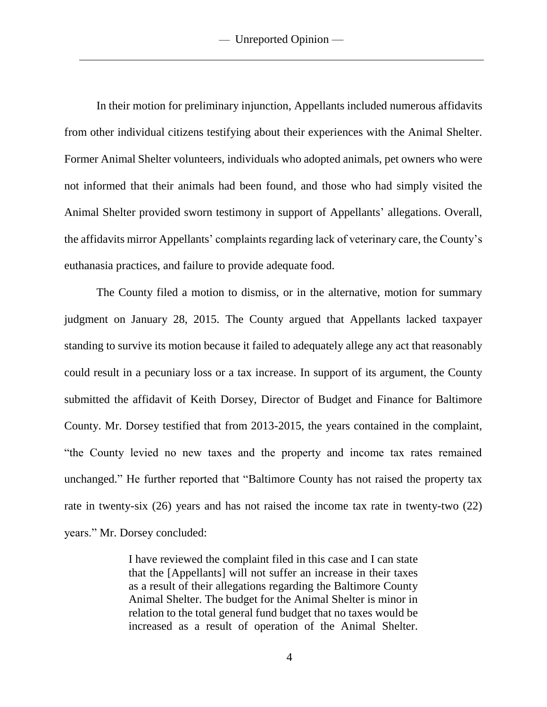In their motion for preliminary injunction, Appellants included numerous affidavits from other individual citizens testifying about their experiences with the Animal Shelter. Former Animal Shelter volunteers, individuals who adopted animals, pet owners who were not informed that their animals had been found, and those who had simply visited the Animal Shelter provided sworn testimony in support of Appellants' allegations. Overall, the affidavits mirror Appellants' complaints regarding lack of veterinary care, the County's euthanasia practices, and failure to provide adequate food.

The County filed a motion to dismiss, or in the alternative, motion for summary judgment on January 28, 2015. The County argued that Appellants lacked taxpayer standing to survive its motion because it failed to adequately allege any act that reasonably could result in a pecuniary loss or a tax increase. In support of its argument, the County submitted the affidavit of Keith Dorsey, Director of Budget and Finance for Baltimore County. Mr. Dorsey testified that from 2013-2015, the years contained in the complaint, "the County levied no new taxes and the property and income tax rates remained unchanged." He further reported that "Baltimore County has not raised the property tax rate in twenty-six (26) years and has not raised the income tax rate in twenty-two (22) years." Mr. Dorsey concluded:

> I have reviewed the complaint filed in this case and I can state that the [Appellants] will not suffer an increase in their taxes as a result of their allegations regarding the Baltimore County Animal Shelter. The budget for the Animal Shelter is minor in relation to the total general fund budget that no taxes would be increased as a result of operation of the Animal Shelter.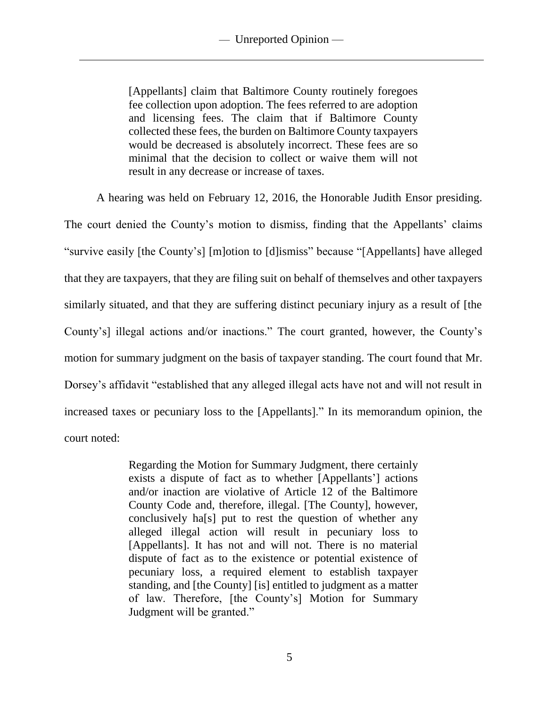[Appellants] claim that Baltimore County routinely foregoes fee collection upon adoption. The fees referred to are adoption and licensing fees. The claim that if Baltimore County collected these fees, the burden on Baltimore County taxpayers would be decreased is absolutely incorrect. These fees are so minimal that the decision to collect or waive them will not result in any decrease or increase of taxes.

A hearing was held on February 12, 2016, the Honorable Judith Ensor presiding.

The court denied the County's motion to dismiss, finding that the Appellants' claims "survive easily [the County's] [m]otion to [d]ismiss" because "[Appellants] have alleged that they are taxpayers, that they are filing suit on behalf of themselves and other taxpayers similarly situated, and that they are suffering distinct pecuniary injury as a result of [the County's] illegal actions and/or inactions." The court granted, however, the County's motion for summary judgment on the basis of taxpayer standing. The court found that Mr. Dorsey's affidavit "established that any alleged illegal acts have not and will not result in increased taxes or pecuniary loss to the [Appellants]." In its memorandum opinion, the court noted:

> Regarding the Motion for Summary Judgment, there certainly exists a dispute of fact as to whether [Appellants'] actions and/or inaction are violative of Article 12 of the Baltimore County Code and, therefore, illegal. [The County], however, conclusively ha[s] put to rest the question of whether any alleged illegal action will result in pecuniary loss to [Appellants]. It has not and will not. There is no material dispute of fact as to the existence or potential existence of pecuniary loss, a required element to establish taxpayer standing, and [the County] [is] entitled to judgment as a matter of law. Therefore, [the County's] Motion for Summary Judgment will be granted."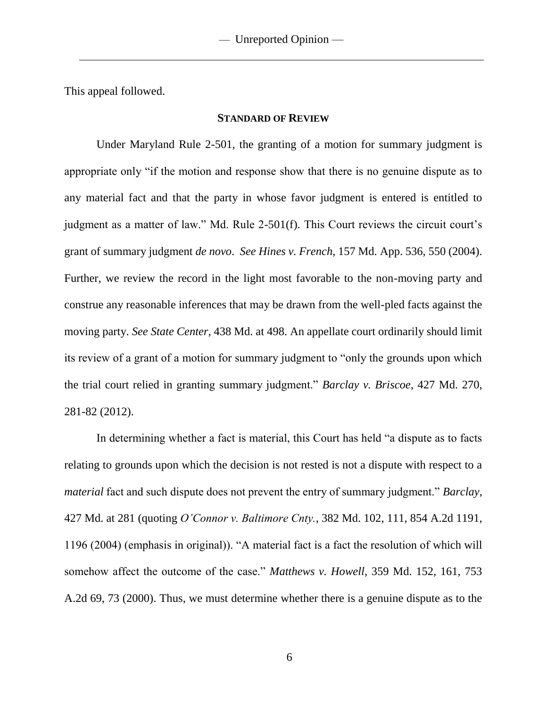This appeal followed.

#### **STANDARD OF REVIEW**

Under Maryland Rule 2-501, the granting of a motion for summary judgment is appropriate only "if the motion and response show that there is no genuine dispute as to any material fact and that the party in whose favor judgment is entered is entitled to judgment as a matter of law." Md. Rule 2-501(f). This Court reviews the circuit court's grant of summary judgment *de novo*. *See Hines v. French*, 157 Md. App. 536, 550 (2004). Further, we review the record in the light most favorable to the non-moving party and construe any reasonable inferences that may be drawn from the well-pled facts against the moving party. *See State Center*, 438 Md. at 498. An appellate court ordinarily should limit its review of a grant of a motion for summary judgment to "only the grounds upon which the trial court relied in granting summary judgment." *Barclay v. Briscoe*, 427 Md. 270, 281-82 (2012).

In determining whether a fact is material, this Court has held "a dispute as to facts relating to grounds upon which the decision is not rested is not a dispute with respect to a *material* fact and such dispute does not prevent the entry of summary judgment." *Barclay*, 427 Md. at 281 (quoting *O'Connor v. Baltimore Cnty.*, 382 Md. 102, 111, 854 A.2d 1191, 1196 (2004) (emphasis in original)). "A material fact is a fact the resolution of which will somehow affect the outcome of the case." *Matthews v. Howell*, 359 Md. 152, 161, 753 A.2d 69, 73 (2000). Thus, we must determine whether there is a genuine dispute as to the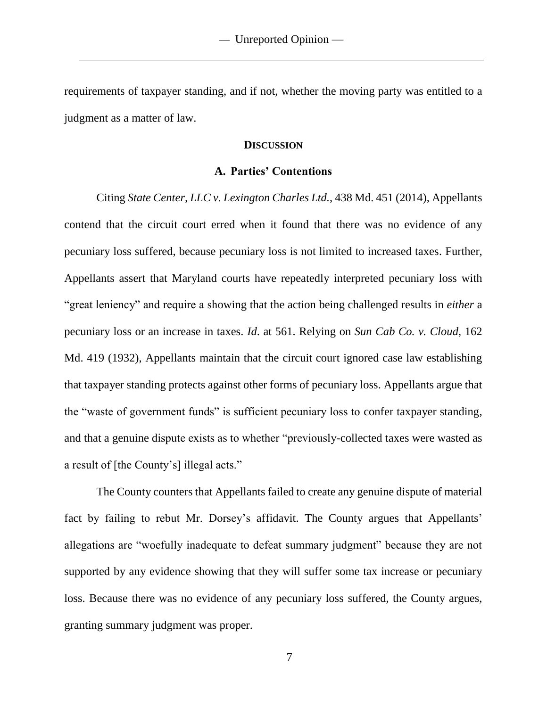requirements of taxpayer standing, and if not, whether the moving party was entitled to a judgment as a matter of law.

### **DISCUSSION**

#### **A. Parties' Contentions**

Citing *State Center, LLC v. Lexington Charles Ltd.*, 438 Md. 451 (2014), Appellants contend that the circuit court erred when it found that there was no evidence of any pecuniary loss suffered, because pecuniary loss is not limited to increased taxes. Further, Appellants assert that Maryland courts have repeatedly interpreted pecuniary loss with "great leniency" and require a showing that the action being challenged results in *either* a pecuniary loss or an increase in taxes. *Id*. at 561. Relying on *Sun Cab Co. v. Cloud*, 162 Md. 419 (1932), Appellants maintain that the circuit court ignored case law establishing that taxpayer standing protects against other forms of pecuniary loss. Appellants argue that the "waste of government funds" is sufficient pecuniary loss to confer taxpayer standing, and that a genuine dispute exists as to whether "previously-collected taxes were wasted as a result of [the County's] illegal acts."

The County counters that Appellants failed to create any genuine dispute of material fact by failing to rebut Mr. Dorsey's affidavit. The County argues that Appellants' allegations are "woefully inadequate to defeat summary judgment" because they are not supported by any evidence showing that they will suffer some tax increase or pecuniary loss. Because there was no evidence of any pecuniary loss suffered, the County argues, granting summary judgment was proper.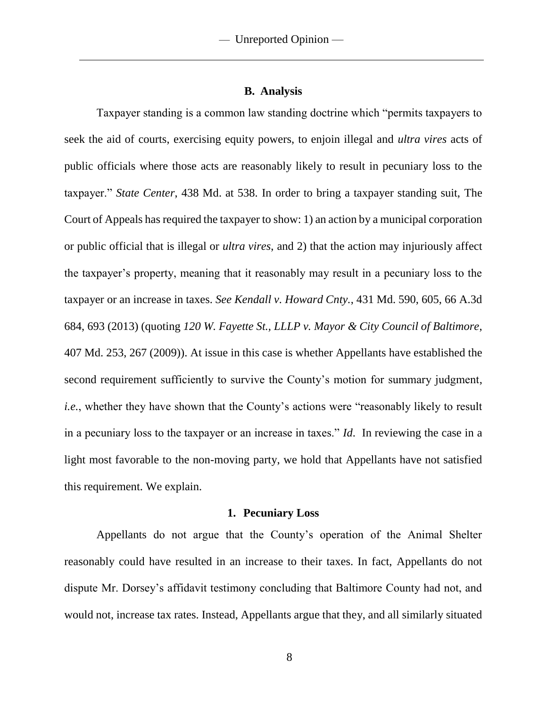#### **B. Analysis**

Taxpayer standing is a common law standing doctrine which "permits taxpayers to seek the aid of courts, exercising equity powers, to enjoin illegal and *ultra vires* acts of public officials where those acts are reasonably likely to result in pecuniary loss to the taxpayer." *State Center*, 438 Md. at 538. In order to bring a taxpayer standing suit, The Court of Appeals has required the taxpayer to show: 1) an action by a municipal corporation or public official that is illegal or *ultra vires*, and 2) that the action may injuriously affect the taxpayer's property, meaning that it reasonably may result in a pecuniary loss to the taxpayer or an increase in taxes. *See Kendall v. Howard Cnty.*, 431 Md. 590, 605, 66 A.3d 684, 693 (2013) (quoting *120 W. Fayette St., LLLP v. Mayor & City Council of Baltimore*, 407 Md. 253, 267 (2009)). At issue in this case is whether Appellants have established the second requirement sufficiently to survive the County's motion for summary judgment, *i.e.*, whether they have shown that the County's actions were "reasonably likely to result in a pecuniary loss to the taxpayer or an increase in taxes." *Id*. In reviewing the case in a light most favorable to the non-moving party, we hold that Appellants have not satisfied this requirement. We explain.

#### **1. Pecuniary Loss**

Appellants do not argue that the County's operation of the Animal Shelter reasonably could have resulted in an increase to their taxes. In fact, Appellants do not dispute Mr. Dorsey's affidavit testimony concluding that Baltimore County had not, and would not, increase tax rates. Instead, Appellants argue that they, and all similarly situated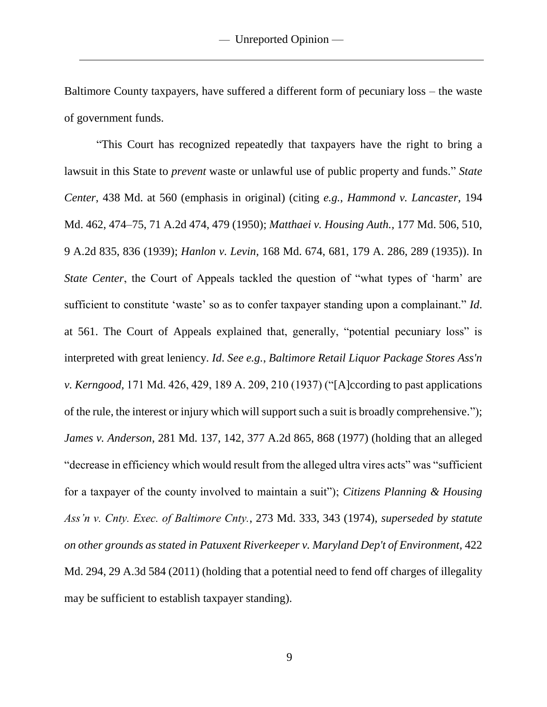Baltimore County taxpayers, have suffered a different form of pecuniary loss – the waste of government funds.

"This Court has recognized repeatedly that taxpayers have the right to bring a lawsuit in this State to *prevent* waste or unlawful use of public property and funds." *State Center*, 438 Md. at 560 (emphasis in original) (citing *e.g.*, *Hammond v. Lancaster,* 194 Md. 462, 474–75, 71 A.2d 474, 479 (1950); *Matthaei v. Housing Auth.,* 177 Md. 506, 510, 9 A.2d 835, 836 (1939); *Hanlon v. Levin,* 168 Md. 674, 681, 179 A. 286, 289 (1935)). In *State Center*, the Court of Appeals tackled the question of "what types of 'harm' are sufficient to constitute 'waste' so as to confer taxpayer standing upon a complainant." *Id*. at 561. The Court of Appeals explained that, generally, "potential pecuniary loss" is interpreted with great leniency. *Id*. *See e.g.*, *Baltimore Retail Liquor Package Stores Ass'n v. Kerngood,* 171 Md. 426, 429, 189 A. 209, 210 (1937) ("[A]ccording to past applications of the rule, the interest or injury which will support such a suit is broadly comprehensive."); *James v. Anderson*, 281 Md. 137, 142, 377 A.2d 865, 868 (1977) (holding that an alleged "decrease in efficiency which would result from the alleged ultra vires acts" was "sufficient for a taxpayer of the county involved to maintain a suit"); *Citizens Planning & Housing Ass'n v. Cnty. Exec. of Baltimore Cnty.*, 273 Md. 333, 343 (1974), *superseded by statute on other grounds as stated in Patuxent Riverkeeper v. Maryland Dep't of Environment,* 422 Md. 294, 29 A.3d 584 (2011) (holding that a potential need to fend off charges of illegality may be sufficient to establish taxpayer standing).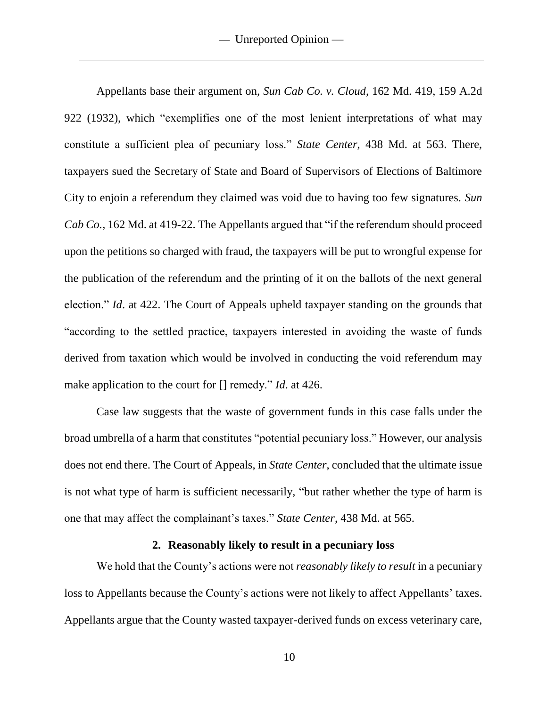Appellants base their argument on, *Sun Cab Co. v. Cloud*, 162 Md. 419, 159 A.2d 922 (1932), which "exemplifies one of the most lenient interpretations of what may constitute a sufficient plea of pecuniary loss." *State Center*, 438 Md. at 563. There, taxpayers sued the Secretary of State and Board of Supervisors of Elections of Baltimore City to enjoin a referendum they claimed was void due to having too few signatures. *Sun Cab Co.*, 162 Md. at 419-22. The Appellants argued that "if the referendum should proceed upon the petitions so charged with fraud, the taxpayers will be put to wrongful expense for the publication of the referendum and the printing of it on the ballots of the next general election." *Id*. at 422. The Court of Appeals upheld taxpayer standing on the grounds that "according to the settled practice, taxpayers interested in avoiding the waste of funds derived from taxation which would be involved in conducting the void referendum may make application to the court for [] remedy." *Id*. at 426.

Case law suggests that the waste of government funds in this case falls under the broad umbrella of a harm that constitutes "potential pecuniary loss." However, our analysis does not end there. The Court of Appeals, in *State Center*, concluded that the ultimate issue is not what type of harm is sufficient necessarily, "but rather whether the type of harm is one that may affect the complainant's taxes." *State Center*, 438 Md. at 565.

#### **2. Reasonably likely to result in a pecuniary loss**

We hold that the County's actions were not *reasonably likely to result* in a pecuniary loss to Appellants because the County's actions were not likely to affect Appellants' taxes. Appellants argue that the County wasted taxpayer-derived funds on excess veterinary care,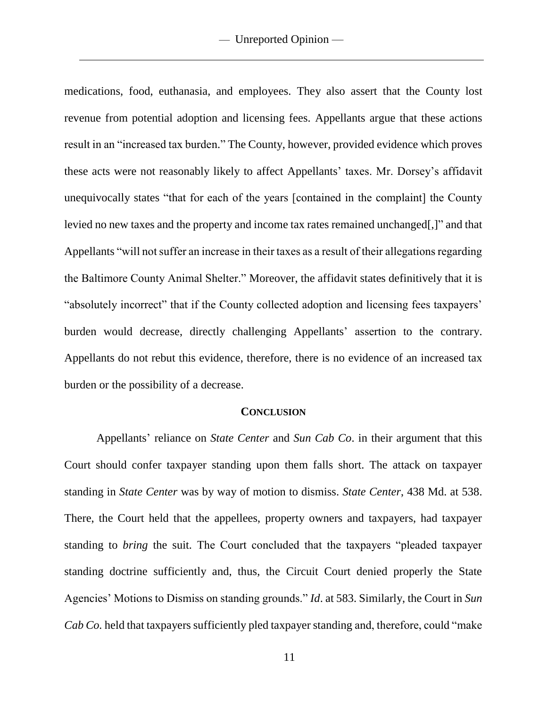medications, food, euthanasia, and employees. They also assert that the County lost revenue from potential adoption and licensing fees. Appellants argue that these actions result in an "increased tax burden." The County, however, provided evidence which proves these acts were not reasonably likely to affect Appellants' taxes. Mr. Dorsey's affidavit unequivocally states "that for each of the years [contained in the complaint] the County levied no new taxes and the property and income tax rates remained unchanged[,]" and that Appellants "will not suffer an increase in their taxes as a result of their allegations regarding the Baltimore County Animal Shelter." Moreover, the affidavit states definitively that it is "absolutely incorrect" that if the County collected adoption and licensing fees taxpayers' burden would decrease, directly challenging Appellants' assertion to the contrary. Appellants do not rebut this evidence, therefore, there is no evidence of an increased tax burden or the possibility of a decrease.

#### **CONCLUSION**

Appellants' reliance on *State Center* and *Sun Cab Co*. in their argument that this Court should confer taxpayer standing upon them falls short. The attack on taxpayer standing in *State Center* was by way of motion to dismiss. *State Center*, 438 Md. at 538. There, the Court held that the appellees, property owners and taxpayers, had taxpayer standing to *bring* the suit. The Court concluded that the taxpayers "pleaded taxpayer standing doctrine sufficiently and, thus, the Circuit Court denied properly the State Agencies' Motions to Dismiss on standing grounds." *Id*. at 583. Similarly, the Court in *Sun Cab Co.* held that taxpayers sufficiently pled taxpayer standing and, therefore, could "make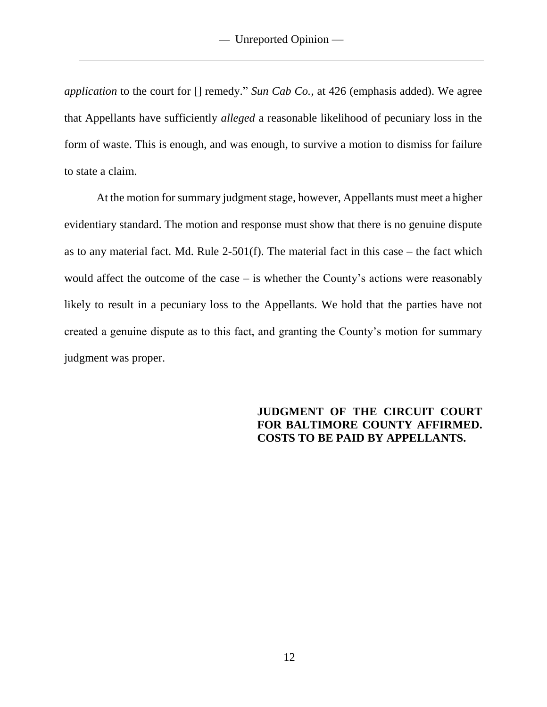*application* to the court for [] remedy." *Sun Cab Co.*, at 426 (emphasis added). We agree that Appellants have sufficiently *alleged* a reasonable likelihood of pecuniary loss in the form of waste. This is enough, and was enough, to survive a motion to dismiss for failure to state a claim.

At the motion for summary judgment stage, however, Appellants must meet a higher evidentiary standard. The motion and response must show that there is no genuine dispute as to any material fact. Md. Rule  $2-501(f)$ . The material fact in this case – the fact which would affect the outcome of the case – is whether the County's actions were reasonably likely to result in a pecuniary loss to the Appellants. We hold that the parties have not created a genuine dispute as to this fact, and granting the County's motion for summary judgment was proper.

# **JUDGMENT OF THE CIRCUIT COURT FOR BALTIMORE COUNTY AFFIRMED. COSTS TO BE PAID BY APPELLANTS.**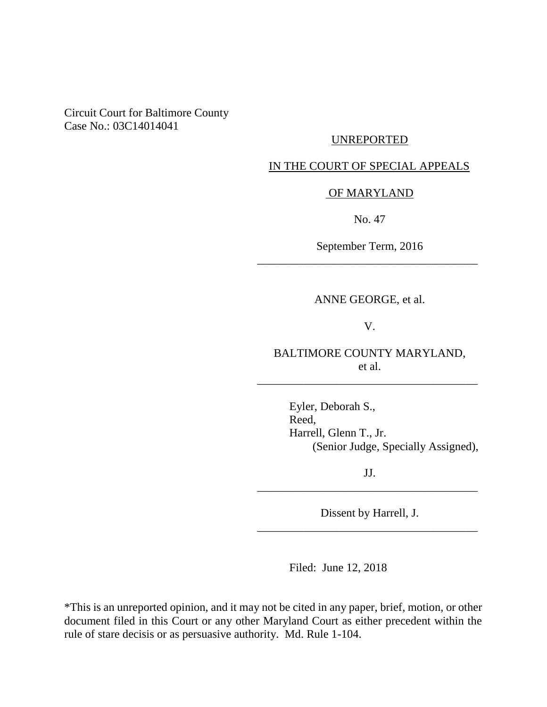### Circuit Court for Baltimore County Case No.: 03C14014041

## UNREPORTED

## IN THE COURT OF SPECIAL APPEALS

#### OF MARYLAND

No. 47

September Term, 2016 \_\_\_\_\_\_\_\_\_\_\_\_\_\_\_\_\_\_\_\_\_\_\_\_\_\_\_\_\_\_\_\_\_\_\_\_\_\_

ANNE GEORGE, et al.

V.

BALTIMORE COUNTY MARYLAND, et al.

\_\_\_\_\_\_\_\_\_\_\_\_\_\_\_\_\_\_\_\_\_\_\_\_\_\_\_\_\_\_\_\_\_\_\_\_\_\_

Eyler, Deborah S., Reed, Harrell, Glenn T., Jr. (Senior Judge, Specially Assigned),

JJ. \_\_\_\_\_\_\_\_\_\_\_\_\_\_\_\_\_\_\_\_\_\_\_\_\_\_\_\_\_\_\_\_\_\_\_\_\_\_

Dissent by Harrell, J. \_\_\_\_\_\_\_\_\_\_\_\_\_\_\_\_\_\_\_\_\_\_\_\_\_\_\_\_\_\_\_\_\_\_\_\_\_\_

Filed: June 12, 2018

\*This is an unreported opinion, and it may not be cited in any paper, brief, motion, or other document filed in this Court or any other Maryland Court as either precedent within the rule of stare decisis or as persuasive authority. Md. Rule 1-104.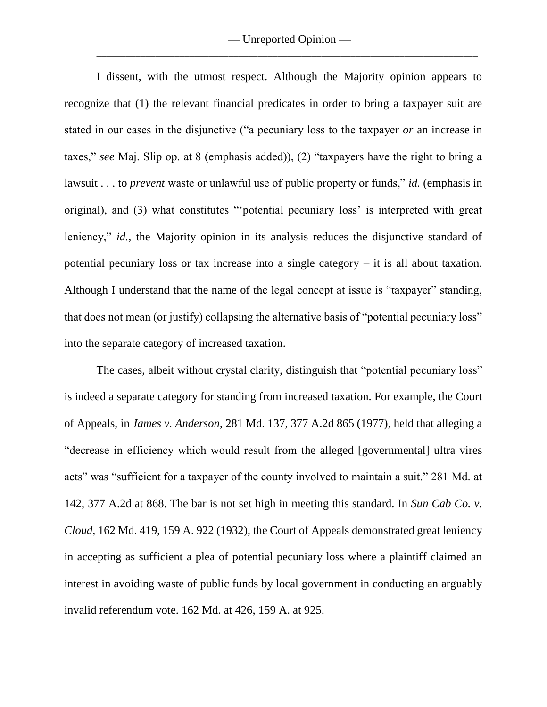I dissent, with the utmost respect. Although the Majority opinion appears to recognize that (1) the relevant financial predicates in order to bring a taxpayer suit are stated in our cases in the disjunctive ("a pecuniary loss to the taxpayer *or* an increase in taxes," *see* Maj. Slip op. at 8 (emphasis added)), (2) "taxpayers have the right to bring a lawsuit . . . to *prevent* waste or unlawful use of public property or funds," *id.* (emphasis in original), and (3) what constitutes "'potential pecuniary loss' is interpreted with great leniency," *id.*, the Majority opinion in its analysis reduces the disjunctive standard of potential pecuniary loss or tax increase into a single category – it is all about taxation. Although I understand that the name of the legal concept at issue is "taxpayer" standing, that does not mean (or justify) collapsing the alternative basis of "potential pecuniary loss" into the separate category of increased taxation.

The cases, albeit without crystal clarity, distinguish that "potential pecuniary loss" is indeed a separate category for standing from increased taxation. For example, the Court of Appeals, in *James v. Anderson*, 281 Md. 137, 377 A.2d 865 (1977), held that alleging a "decrease in efficiency which would result from the alleged [governmental] ultra vires acts" was "sufficient for a taxpayer of the county involved to maintain a suit." 281 Md. at 142, 377 A.2d at 868. The bar is not set high in meeting this standard. In *Sun Cab Co. v. Cloud*, 162 Md. 419, 159 A. 922 (1932), the Court of Appeals demonstrated great leniency in accepting as sufficient a plea of potential pecuniary loss where a plaintiff claimed an interest in avoiding waste of public funds by local government in conducting an arguably invalid referendum vote. 162 Md. at 426, 159 A. at 925.